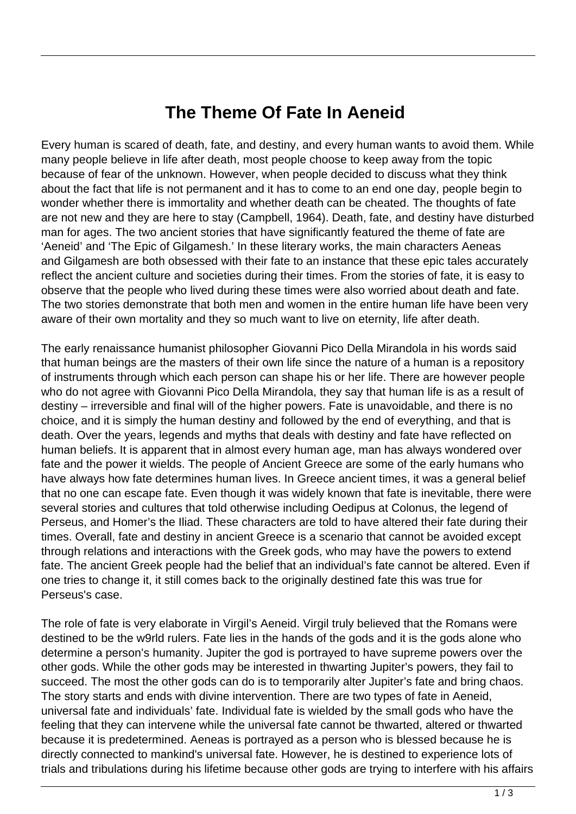## **The Theme Of Fate In Aeneid**

Every human is scared of death, fate, and destiny, and every human wants to avoid them. While many people believe in life after death, most people choose to keep away from the topic because of fear of the unknown. However, when people decided to discuss what they think about the fact that life is not permanent and it has to come to an end one day, people begin to wonder whether there is immortality and whether death can be cheated. The thoughts of fate are not new and they are here to stay (Campbell, 1964). Death, fate, and destiny have disturbed man for ages. The two ancient stories that have significantly featured the theme of fate are 'Aeneid' and 'The Epic of Gilgamesh.' In these literary works, the main characters Aeneas and Gilgamesh are both obsessed with their fate to an instance that these epic tales accurately reflect the ancient culture and societies during their times. From the stories of fate, it is easy to observe that the people who lived during these times were also worried about death and fate. The two stories demonstrate that both men and women in the entire human life have been very aware of their own mortality and they so much want to live on eternity, life after death.

The early renaissance humanist philosopher Giovanni Pico Della Mirandola in his words said that human beings are the masters of their own life since the nature of a human is a repository of instruments through which each person can shape his or her life. There are however people who do not agree with Giovanni Pico Della Mirandola, they say that human life is as a result of destiny – irreversible and final will of the higher powers. Fate is unavoidable, and there is no choice, and it is simply the human destiny and followed by the end of everything, and that is death. Over the years, legends and myths that deals with destiny and fate have reflected on human beliefs. It is apparent that in almost every human age, man has always wondered over fate and the power it wields. The people of Ancient Greece are some of the early humans who have always how fate determines human lives. In Greece ancient times, it was a general belief that no one can escape fate. Even though it was widely known that fate is inevitable, there were several stories and cultures that told otherwise including Oedipus at Colonus, the legend of Perseus, and Homer's the Iliad. These characters are told to have altered their fate during their times. Overall, fate and destiny in ancient Greece is a scenario that cannot be avoided except through relations and interactions with the Greek gods, who may have the powers to extend fate. The ancient Greek people had the belief that an individual's fate cannot be altered. Even if one tries to change it, it still comes back to the originally destined fate this was true for Perseus's case.

The role of fate is very elaborate in Virgil's Aeneid. Virgil truly believed that the Romans were destined to be the w9rld rulers. Fate lies in the hands of the gods and it is the gods alone who determine a person's humanity. Jupiter the god is portrayed to have supreme powers over the other gods. While the other gods may be interested in thwarting Jupiter's powers, they fail to succeed. The most the other gods can do is to temporarily alter Jupiter's fate and bring chaos. The story starts and ends with divine intervention. There are two types of fate in Aeneid, universal fate and individuals' fate. Individual fate is wielded by the small gods who have the feeling that they can intervene while the universal fate cannot be thwarted, altered or thwarted because it is predetermined. Aeneas is portrayed as a person who is blessed because he is directly connected to mankind's universal fate. However, he is destined to experience lots of trials and tribulations during his lifetime because other gods are trying to interfere with his affairs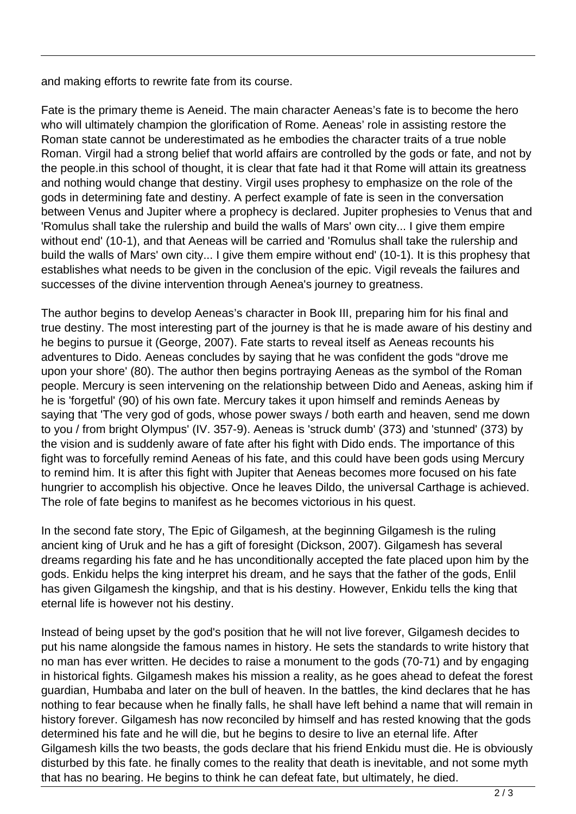and making efforts to rewrite fate from its course.

Fate is the primary theme is Aeneid. The main character Aeneas's fate is to become the hero who will ultimately champion the glorification of Rome. Aeneas' role in assisting restore the Roman state cannot be underestimated as he embodies the character traits of a true noble Roman. Virgil had a strong belief that world affairs are controlled by the gods or fate, and not by the people.in this school of thought, it is clear that fate had it that Rome will attain its greatness and nothing would change that destiny. Virgil uses prophesy to emphasize on the role of the gods in determining fate and destiny. A perfect example of fate is seen in the conversation between Venus and Jupiter where a prophecy is declared. Jupiter prophesies to Venus that and 'Romulus shall take the rulership and build the walls of Mars' own city... I give them empire without end' (10-1), and that Aeneas will be carried and 'Romulus shall take the rulership and build the walls of Mars' own city... I give them empire without end' (10-1). It is this prophesy that establishes what needs to be given in the conclusion of the epic. Vigil reveals the failures and successes of the divine intervention through Aenea's journey to greatness.

The author begins to develop Aeneas's character in Book III, preparing him for his final and true destiny. The most interesting part of the journey is that he is made aware of his destiny and he begins to pursue it (George, 2007). Fate starts to reveal itself as Aeneas recounts his adventures to Dido. Aeneas concludes by saying that he was confident the gods "drove me upon your shore' (80). The author then begins portraying Aeneas as the symbol of the Roman people. Mercury is seen intervening on the relationship between Dido and Aeneas, asking him if he is 'forgetful' (90) of his own fate. Mercury takes it upon himself and reminds Aeneas by saying that 'The very god of gods, whose power sways / both earth and heaven, send me down to you / from bright Olympus' (IV. 357-9). Aeneas is 'struck dumb' (373) and 'stunned' (373) by the vision and is suddenly aware of fate after his fight with Dido ends. The importance of this fight was to forcefully remind Aeneas of his fate, and this could have been gods using Mercury to remind him. It is after this fight with Jupiter that Aeneas becomes more focused on his fate hungrier to accomplish his objective. Once he leaves Dildo, the universal Carthage is achieved. The role of fate begins to manifest as he becomes victorious in his quest.

In the second fate story, The Epic of Gilgamesh, at the beginning Gilgamesh is the ruling ancient king of Uruk and he has a gift of foresight (Dickson, 2007). Gilgamesh has several dreams regarding his fate and he has unconditionally accepted the fate placed upon him by the gods. Enkidu helps the king interpret his dream, and he says that the father of the gods, Enlil has given Gilgamesh the kingship, and that is his destiny. However, Enkidu tells the king that eternal life is however not his destiny.

Instead of being upset by the god's position that he will not live forever, Gilgamesh decides to put his name alongside the famous names in history. He sets the standards to write history that no man has ever written. He decides to raise a monument to the gods (70-71) and by engaging in historical fights. Gilgamesh makes his mission a reality, as he goes ahead to defeat the forest guardian, Humbaba and later on the bull of heaven. In the battles, the kind declares that he has nothing to fear because when he finally falls, he shall have left behind a name that will remain in history forever. Gilgamesh has now reconciled by himself and has rested knowing that the gods determined his fate and he will die, but he begins to desire to live an eternal life. After Gilgamesh kills the two beasts, the gods declare that his friend Enkidu must die. He is obviously disturbed by this fate. he finally comes to the reality that death is inevitable, and not some myth that has no bearing. He begins to think he can defeat fate, but ultimately, he died.